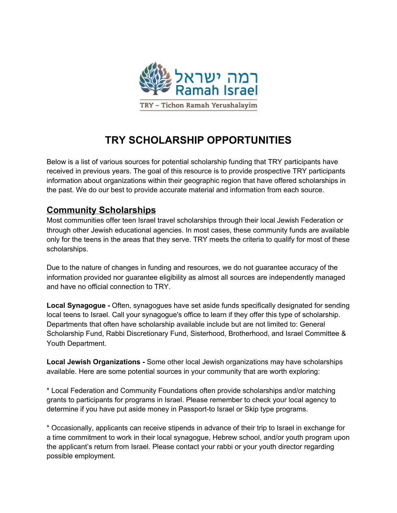

# **TRY SCHOLARSHIP OPPORTUNITIES**

Below is a list of various sources for potential scholarship funding that TRY participants have received in previous years. The goal of this resource is to provide prospective TRY participants information about organizations within their geographic region that have offered scholarships in the past. We do our best to provide accurate material and information from each source.

# **Community Scholarships**

Most communities offer teen Israel travel scholarships through their local Jewish Federation or through other Jewish educational agencies. In most cases, these community funds are available only for the teens in the areas that they serve. TRY meets the criteria to qualify for most of these scholarships.

Due to the nature of changes in funding and resources, we do not guarantee accuracy of the information provided nor guarantee eligibility as almost all sources are independently managed and have no official connection to TRY.

**Local Synagogue -** Often, synagogues have set aside funds specifically designated for sending local teens to Israel. Call your synagogue's office to learn if they offer this type of scholarship. Departments that often have scholarship available include but are not limited to: General Scholarship Fund, Rabbi Discretionary Fund, Sisterhood, Brotherhood, and Israel Committee & Youth Department.

**Local Jewish Organizations -** Some other local Jewish organizations may have scholarships available. Here are some potential sources in your community that are worth exploring:

\* Local Federation and Community Foundations often provide scholarships and/or matching grants to participants for programs in Israel. Please remember to check your local agency to determine if you have put aside money in Passport-to Israel or Skip type programs.

\* Occasionally, applicants can receive stipends in advance of their trip to Israel in exchange for a time commitment to work in their local synagogue, Hebrew school, and/or youth program upon the applicant's return from Israel. Please contact your rabbi or your youth director regarding possible employment.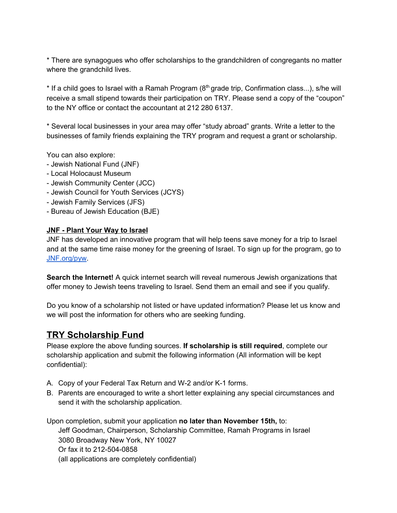\* There are synagogues who offer scholarships to the grandchildren of congregants no matter where the grandchild lives.

\* If a child goes to Israel with a Ramah Program ( $8<sup>th</sup>$  grade trip, Confirmation class...), s/he will receive a small stipend towards their participation on TRY. Please send a copy of the "coupon" to the NY office or contact the accountant at 212 280 6137.

\* Several local businesses in your area may offer "study abroad" grants. Write a letter to the businesses of family friends explaining the TRY program and request a grant or scholarship.

You can also explore:

- Jewish National Fund (JNF)
- Local Holocaust Museum
- Jewish Community Center (JCC)
- Jewish Council for Youth Services (JCYS)
- Jewish Family Services (JFS)
- Bureau of Jewish Education (BJE)

# **JNF - Plant Your Way to Israel**

JNF has developed an innovative program that will help teens save money for a trip to Israel and at the same time raise money for the greening of Israel. To sign up for the program, go to [JNF.org/pyw.](http://jnf.org/pyw)

**Search the Internet!** A quick internet search will reveal numerous Jewish organizations that offer money to Jewish teens traveling to Israel. Send them an email and see if you qualify.

Do you know of a scholarship not listed or have updated information? Please let us know and we will post the information for others who are seeking funding.

# **TRY Scholarship Fund**

Please explore the above funding sources. **If scholarship is still required**, complete our scholarship application and submit the following information (All information will be kept confidential):

- A. Copy of your Federal Tax Return and W-2 and/or K-1 forms.
- B. Parents are encouraged to write a short letter explaining any special circumstances and send it with the scholarship application.

Upon completion, submit your application **no later than November 15th,** to: Jeff Goodman, Chairperson, Scholarship Committee, Ramah Programs in Israel 3080 Broadway New York, NY 10027 Or fax it to 212-504-0858 (all applications are completely confidential)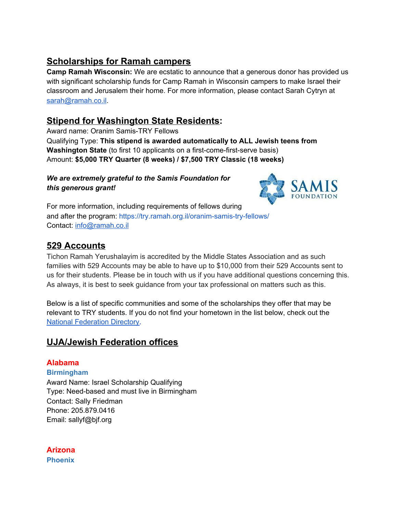# **Scholarships for Ramah campers**

**Camp Ramah Wisconsin:** We are ecstatic to announce that a generous donor has provided us with significant scholarship funds for Camp Ramah in Wisconsin campers to make Israel their classroom and Jerusalem their home. For more information, please contact Sarah Cytryn at [sarah@ramah.co.il](mailto:sarah@ramah.co.il).

# **Stipend for Washington State Residents:**

Award name: Oranim Samis-TRY Fellows Qualifying Type: **This stipend is awarded automatically to ALL Jewish teens from Washington State** (to first 10 applicants on a first-come-first-serve basis) Amount: **\$5,000 TRY Quarter (8 weeks) / \$7,500 TRY Classic (18 weeks)**

# *We are extremely grateful to the Samis Foundation for this generous grant!*



For more information, including requirements of fellows during and after the program: <https://try.ramah.org.il/oranim-samis-try-fellows/> Contact: [info@ramah.co.il](mailto:info@ramah.co.il)

# **529 Accounts**

Tichon Ramah Yerushalayim is accredited by the Middle States Association and as such families with 529 Accounts may be able to have up to \$10,000 from their 529 Accounts sent to us for their students. Please be in touch with us if you have additional questions concerning this. As always, it is best to seek guidance from your tax professional on matters such as this.

Below is a list of specific communities and some of the scholarships they offer that may be relevant to TRY students. If you do not find your hometown in the list below, check out the National [Federation](https://try.ramah.org.il/wp-content/uploads/JFNA_Public_Directory_Sep_14_2020.pdf) Directory.

# **UJA/Jewish Federation offices**

# **Alabama**

**Birmingham** Award Name: Israel Scholarship Qualifying Type: Need-based and must live in Birmingham Contact: Sally Friedman Phone: 205.879.0416 Email: sallyf@bjf.org

**Arizona Phoenix**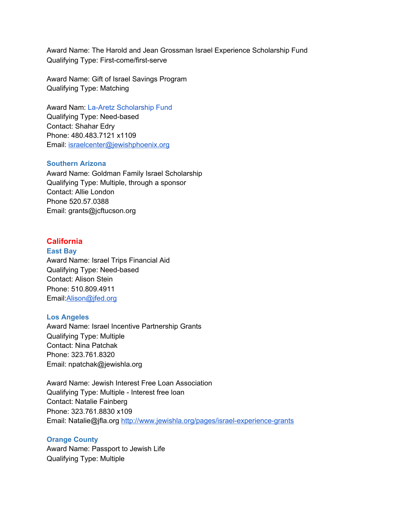Award Name: The Harold and Jean Grossman Israel Experience Scholarship Fund Qualifying Type: First-come/first-serve

Award Name: Gift of Israel Savings Program Qualifying Type: Matching

Award Nam: La-Aretz Scholarship Fund Qualifying Type: Need-based Contact: Shahar Edry Phone: 480.483.7121 x1109 Email: [israelcenter@jewishphoenix.org](mailto:israelcenter@jewishphoenix.org)

## **Southern Arizona**

Award Name: Goldman Family Israel Scholarship Qualifying Type: Multiple, through a sponsor Contact: Allie London Phone 520.57.0388 Email: grants@jcftucson.org

# **California**

# **East Bay**

Award Name: Israel Trips Financial Aid Qualifying Type: Need-based Contact: Alison Stein Phone: 510.809.4911 Email:[Alison@jfed.org](mailto:Alison@jfed.org)

#### **Los Angeles**

Award Name: Israel Incentive Partnership Grants Qualifying Type: Multiple Contact: Nina Patchak Phone: 323.761.8320 Email: npatchak@jewishla.org

Award Name: Jewish Interest Free Loan Association Qualifying Type: Multiple - Interest free loan Contact: Natalie Fainberg Phone: 323.761.8830 x109 Email: Natalie@jfla.org <http://www.jewishla.org/pages/israel-experience-grants>

#### **Orange County**

Award Name: Passport to Jewish Life Qualifying Type: Multiple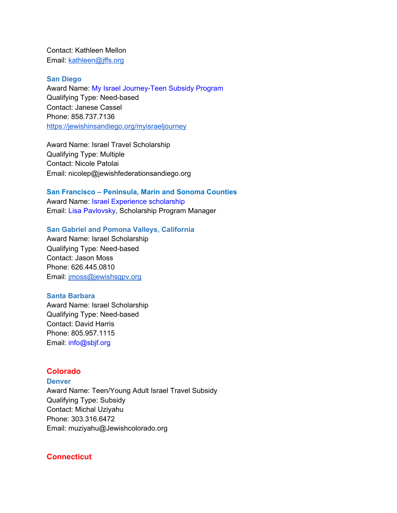Contact: Kathleen Mellon Email: [kathleen@jffs.org](mailto:kathleen@jffs.org)

#### **San Diego**

Award Name: My Israel Journey-Teen Subsidy Program Qualifying Type: Need-based Contact: Janese Cassel Phone: 858.737.7136 <https://jewishinsandiego.org/myisraeljourney>

Award Name: Israel Travel Scholarship Qualifying Type: Multiple Contact: Nicole Patolai Email: nicolep@jewishfederationsandiego.org

#### **San Francisco – Peninsula, Marin and Sonoma Counties**

Award Name: Israel Experience scholarship Email: Lisa Pavlovsky, Scholarship Program Manager

#### **San Gabriel and Pomona Valleys, California**

Award Name: Israel Scholarship Qualifying Type: Need-based Contact: Jason Moss Phone: 626.445.0810 Email: [jmoss@jewishsgpv.org](mailto:jmoss@jewishsgpv.org)

#### **Santa Barbara**

Award Name: Israel Scholarship Qualifying Type: Need-based Contact: David Harris Phone: 805.957.1115 Email: info@sbjf.org

# **Colorado**

**Denver** Award Name: Teen/Young Adult Israel Travel Subsidy Qualifying Type: Subsidy Contact: Michal Uziyahu Phone: 303.316.6472 Email: muziyahu@Jewishcolorado.org

## **Connecticut**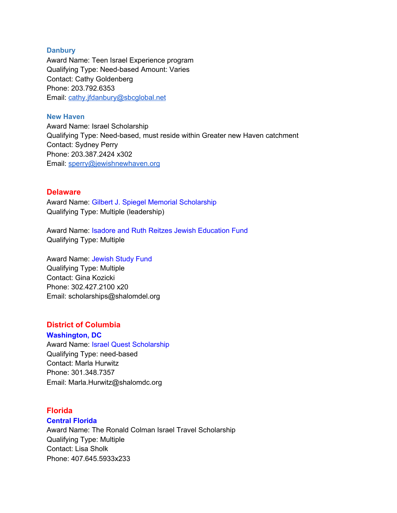#### **Danbury**

Award Name: Teen Israel Experience program Qualifying Type: Need-based Amount: Varies Contact: Cathy Goldenberg Phone: 203.792.6353 Email: [cathy.jfdanbury@sbcglobal.net](mailto:cathy.jfdanbury@sbcglobal.net)

# **New Haven**

Award Name: Israel Scholarship Qualifying Type: Need-based, must reside within Greater new Haven catchment Contact: Sydney Perry Phone: 203.387.2424 x302 Email: [sperry@jewishnewhaven.org](mailto:sperry@jewishnewhaven.org)

# **Delaware**

Award Name: Gilbert J. Spiegel Memorial Scholarship Qualifying Type: Multiple (leadership)

Award Name: Isadore and Ruth Reitzes Jewish Education Fund Qualifying Type: Multiple

Award Name: Jewish Study Fund Qualifying Type: Multiple Contact: Gina Kozicki Phone: 302.427.2100 x20 Email: scholarships@shalomdel.org

# **District of Columbia**

**Washington, DC** Award Name: Israel Quest Scholarship Qualifying Type: need-based Contact: Marla Hurwitz Phone: 301.348.7357 Email: Marla.Hurwitz@shalomdc.org

# **Florida**

# **Central Florida**

Award Name: The Ronald Colman Israel Travel Scholarship Qualifying Type: Multiple Contact: Lisa Sholk Phone: 407.645.5933x233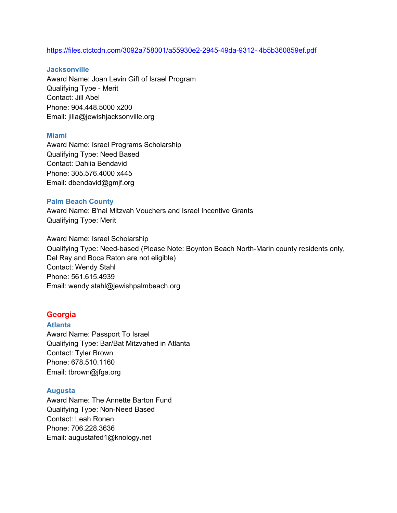#### https://files.ctctcdn.com/3092a758001/a55930e2-2945-49da-9312- 4b5b360859ef.pdf

#### **Jacksonville**

Award Name: Joan Levin Gift of Israel Program Qualifying Type - Merit Contact: Jill Abel Phone: 904.448.5000 x200 Email: jilla@jewishjacksonville.org

#### **Miami**

Award Name: Israel Programs Scholarship Qualifying Type: Need Based Contact: Dahlia Bendavid Phone: 305.576.4000 x445 Email: dbendavid@gmjf.org

#### **Palm Beach County**

Award Name: B'nai Mitzvah Vouchers and Israel Incentive Grants Qualifying Type: Merit

Award Name: Israel Scholarship Qualifying Type: Need-based (Please Note: Boynton Beach North-Marin county residents only, Del Ray and Boca Raton are not eligible) Contact: Wendy Stahl Phone: 561.615.4939 Email: wendy.stahl@jewishpalmbeach.org

# **Georgia**

#### **Atlanta**

Award Name: Passport To Israel Qualifying Type: Bar/Bat Mitzvahed in Atlanta Contact: Tyler Brown Phone: 678.510.1160 Email: tbrown@jfga.org

#### **Augusta**

Award Name: The Annette Barton Fund Qualifying Type: Non-Need Based Contact: Leah Ronen Phone: 706.228.3636 Email: augustafed1@knology.net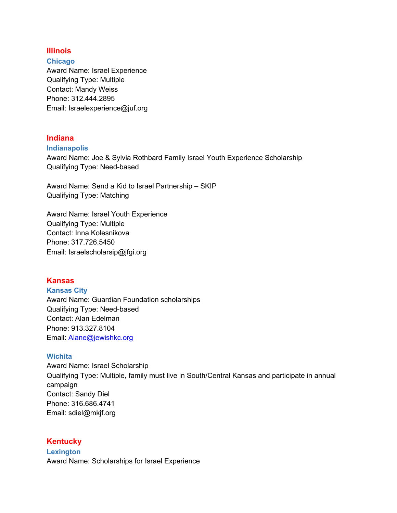# **Illinois**

**Chicago** Award Name: Israel Experience Qualifying Type: Multiple Contact: Mandy Weiss Phone: 312.444.2895 Email: Israelexperience@juf.org

# **Indiana**

### **Indianapolis**

Award Name: Joe & Sylvia Rothbard Family Israel Youth Experience Scholarship Qualifying Type: Need-based

Award Name: Send a Kid to Israel Partnership – SKIP Qualifying Type: Matching

Award Name: Israel Youth Experience Qualifying Type: Multiple Contact: Inna Kolesnikova Phone: 317.726.5450 Email: Israelscholarsip@jfgi.org

# **Kansas**

# **Kansas City**

Award Name: Guardian Foundation scholarships Qualifying Type: Need-based Contact: Alan Edelman Phone: 913.327.8104 Email: Alane@jewishkc.org

# **Wichita**

Award Name: Israel Scholarship Qualifying Type: Multiple, family must live in South/Central Kansas and participate in annual campaign Contact: Sandy Diel Phone: 316.686.4741 Email: sdiel@mkjf.org

# **Kentucky**

**Lexington** Award Name: Scholarships for Israel Experience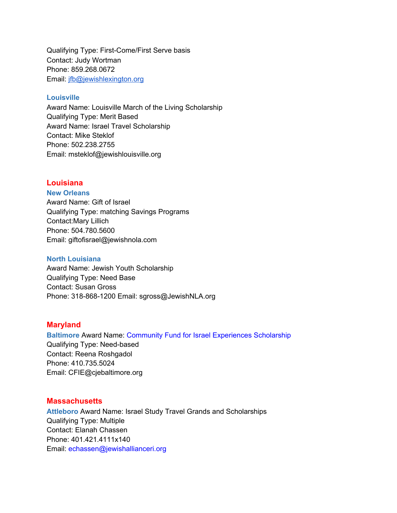Qualifying Type: First-Come/First Serve basis Contact: Judy Wortman Phone: 859.268.0672 Email: [jfb@jewishlexington.org](mailto:jfb@jewishlexington.org)

## **Louisville**

Award Name: Louisville March of the Living Scholarship Qualifying Type: Merit Based Award Name: Israel Travel Scholarship Contact: Mike Steklof Phone: 502.238.2755 Email: msteklof@jewishlouisville.org

# **Louisiana**

## **New Orleans**

Award Name: Gift of Israel Qualifying Type: matching Savings Programs Contact:Mary Lillich Phone: 504.780.5600 Email: giftofisrael@jewishnola.com

## **North Louisiana**

Award Name: Jewish Youth Scholarship Qualifying Type: Need Base Contact: Susan Gross Phone: 318-868-1200 Email: sgross@JewishNLA.org

# **Maryland**

**Baltimore** Award Name: Community Fund for Israel Experiences Scholarship Qualifying Type: Need-based Contact: Reena Roshgadol Phone: 410.735.5024 Email: CFIE@cjebaltimore.org

# **Massachusetts**

**Attleboro** Award Name: Israel Study Travel Grands and Scholarships Qualifying Type: Multiple Contact: Elanah Chassen Phone: 401.421.4111x140 Email: echassen@jewishallianceri.org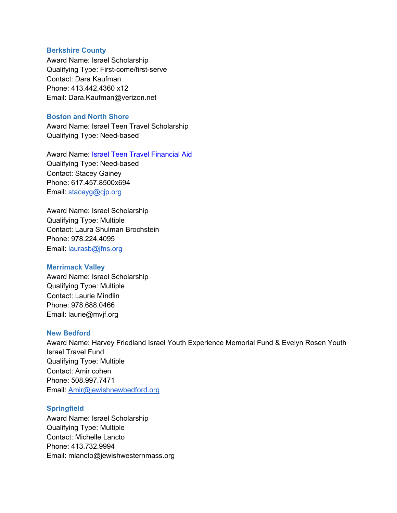#### **Berkshire County**

Award Name: Israel Scholarship Qualifying Type: First-come/first-serve Contact: Dara Kaufman Phone: 413.442.4360 x12 Email: Dara.Kaufman@verizon.net

## **Boston and North Shore**

Award Name: Israel Teen Travel Scholarship Qualifying Type: Need-based

Award Name: Israel Teen Travel Financial Aid Qualifying Type: Need-based Contact: Stacey Gainey Phone: 617.457.8500x694 Email: [staceyg@cjp.org](mailto:staceyg@cjp.org)

Award Name: Israel Scholarship Qualifying Type: Multiple Contact: Laura Shulman Brochstein Phone: 978.224.4095 Email: [laurasb@jfns.org](mailto:laurasb@jfns.org)

# **Merrimack Valley**

Award Name: Israel Scholarship Qualifying Type: Multiple Contact: Laurie Mindlin Phone: 978.688.0466 Email: laurie@mvjf.org

# **New Bedford**

Award Name: Harvey Friedland Israel Youth Experience Memorial Fund & Evelyn Rosen Youth Israel Travel Fund Qualifying Type: Multiple Contact: Amir cohen Phone: 508.997.7471 Email: [Amir@jewishnewbedford.org](mailto:Amir@jewishnewbedford.org)

# **Springfield**

Award Name: Israel Scholarship Qualifying Type: Multiple Contact: Michelle Lancto Phone: 413.732.9994 Email: mlancto@jewishwesternmass.org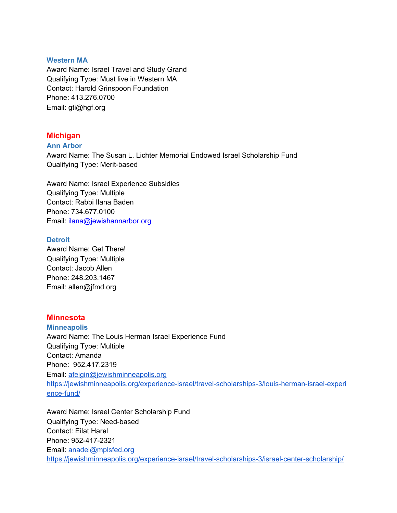#### **Western MA**

Award Name: Israel Travel and Study Grand Qualifying Type: Must live in Western MA Contact: Harold Grinspoon Foundation Phone: 413.276.0700 Email: gti@hgf.org

# **Michigan**

#### **Ann Arbor**

Award Name: The Susan L. Lichter Memorial Endowed Israel Scholarship Fund Qualifying Type: Merit-based

Award Name: Israel Experience Subsidies Qualifying Type: Multiple Contact: Rabbi Ilana Baden Phone: 734.677.0100 Email: ilana@jewishannarbor.org

## **Detroit**

Award Name: Get There! Qualifying Type: Multiple Contact: Jacob Allen Phone: 248.203.1467 Email: allen@jfmd.org

# **Minnesota**

#### **Minneapolis**

Award Name: The Louis Herman Israel Experience Fund Qualifying Type: Multiple Contact: Amanda Phone: 952.417.2319 Email: [afeigin@jewishminneapolis.org](mailto:afeigin@jewishminneapolis.org) [https://jewishminneapolis.org/experience-israel/travel-scholarships-3/louis-herman-israel-experi](https://jewishminneapolis.org/experience-israel/travel-scholarships-3/louis-herman-israel-experience-fund/) [ence-fund/](https://jewishminneapolis.org/experience-israel/travel-scholarships-3/louis-herman-israel-experience-fund/)

Award Name: Israel Center Scholarship Fund Qualifying Type: Need-based Contact: Eilat Harel Phone: 952-417-2321 Email: [anadel@mplsfed.org](mailto:anadel@mplsfed.org) <https://jewishminneapolis.org/experience-israel/travel-scholarships-3/israel-center-scholarship/>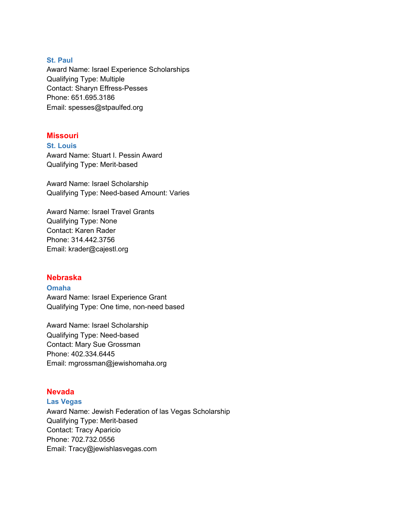### **St. Paul**

Award Name: Israel Experience Scholarships Qualifying Type: Multiple Contact: Sharyn Effress-Pesses Phone: 651.695.3186 Email: spesses@stpaulfed.org

# **Missouri**

**St. Louis** Award Name: Stuart I. Pessin Award Qualifying Type: Merit-based

Award Name: Israel Scholarship Qualifying Type: Need-based Amount: Varies

Award Name: Israel Travel Grants Qualifying Type: None Contact: Karen Rader Phone: 314.442.3756 Email: krader@cajestl.org

# **Nebraska**

## **Omaha**

Award Name: Israel Experience Grant Qualifying Type: One time, non-need based

Award Name: Israel Scholarship Qualifying Type: Need-based Contact: Mary Sue Grossman Phone: 402.334.6445 Email: mgrossman@jewishomaha.org

# **Nevada**

#### **Las Vegas**

Award Name: Jewish Federation of las Vegas Scholarship Qualifying Type: Merit-based Contact: Tracy Aparicio Phone: 702.732.0556 Email: Tracy@jewishlasvegas.com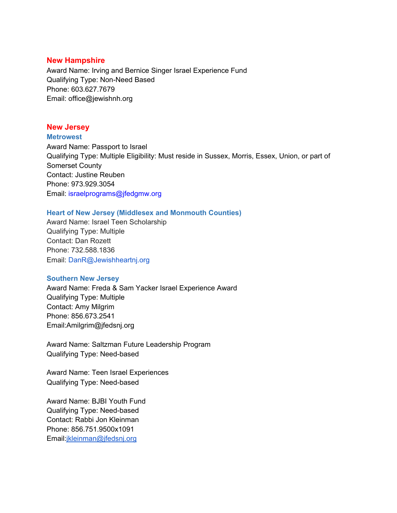### **New Hampshire**

Award Name: Irving and Bernice Singer Israel Experience Fund Qualifying Type: Non-Need Based Phone: 603.627.7679 Email: office@jewishnh.org

## **New Jersey**

**Metrowest**

Award Name: Passport to Israel Qualifying Type: Multiple Eligibility: Must reside in Sussex, Morris, Essex, Union, or part of Somerset County Contact: Justine Reuben Phone: 973.929.3054 Email: israelprograms@jfedgmw.org

## **Heart of New Jersey (Middlesex and Monmouth Counties)**

Award Name: Israel Teen Scholarship Qualifying Type: Multiple Contact: Dan Rozett Phone: 732.588.1836 Email: DanR@Jewishheartnj.org

#### **Southern New Jersey**

Award Name: Freda & Sam Yacker Israel Experience Award Qualifying Type: Multiple Contact: Amy Milgrim Phone: 856.673.2541 Email:Amilgrim@jfedsnj.org

Award Name: Saltzman Future Leadership Program Qualifying Type: Need-based

Award Name: Teen Israel Experiences Qualifying Type: Need-based

Award Name: BJBI Youth Fund Qualifying Type: Need-based Contact: Rabbi Jon Kleinman Phone: 856.751.9500x1091 Email:[jkleinman@jfedsnj.org](mailto:jkleinman@jfedsnj.org)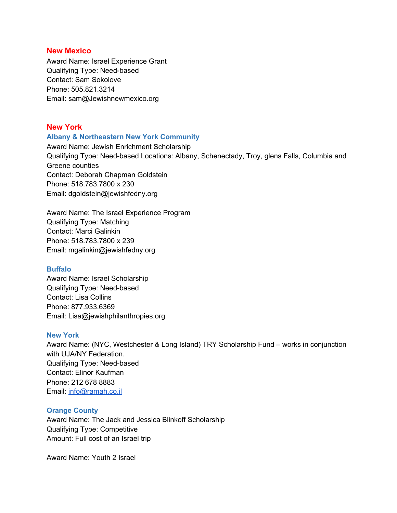## **New Mexico**

Award Name: Israel Experience Grant Qualifying Type: Need-based Contact: Sam Sokolove Phone: 505.821.3214 Email: sam@Jewishnewmexico.org

# **New York**

#### **Albany & Northeastern New York Community**

Award Name: Jewish Enrichment Scholarship Qualifying Type: Need-based Locations: Albany, Schenectady, Troy, glens Falls, Columbia and Greene counties Contact: Deborah Chapman Goldstein Phone: 518.783.7800 x 230 Email: dgoldstein@jewishfedny.org

Award Name: The Israel Experience Program Qualifying Type: Matching Contact: Marci Galinkin Phone: 518.783.7800 x 239 Email: mgalinkin@jewishfedny.org

#### **Buffalo**

Award Name: Israel Scholarship Qualifying Type: Need-based Contact: Lisa Collins Phone: 877.933.6369 Email: Lisa@jewishphilanthropies.org

# **New York**

Award Name: (NYC, Westchester & Long Island) TRY Scholarship Fund – works in conjunction with UJA/NY Federation. Qualifying Type: Need-based Contact: Elinor Kaufman Phone: 212 678 8883 Email: [info@ramah.co.il](mailto:info@ramah.co.il)

# **Orange County**

Award Name: The Jack and Jessica Blinkoff Scholarship Qualifying Type: Competitive Amount: Full cost of an Israel trip

Award Name: Youth 2 Israel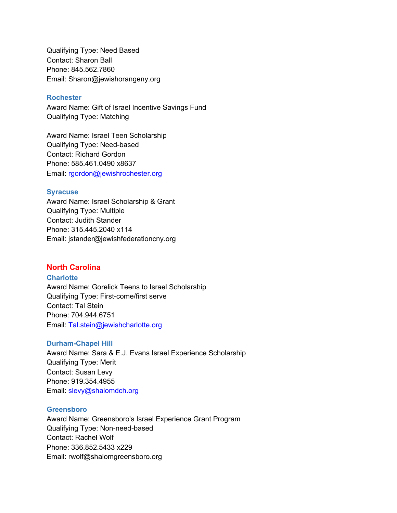Qualifying Type: Need Based Contact: Sharon Ball Phone: 845.562.7860 Email: Sharon@jewishorangeny.org

#### **Rochester**

Award Name: Gift of Israel Incentive Savings Fund Qualifying Type: Matching

Award Name: Israel Teen Scholarship Qualifying Type: Need-based Contact: Richard Gordon Phone: 585.461.0490 x8637 Email: rgordon@jewishrochester.org

## **Syracuse**

Award Name: Israel Scholarship & Grant Qualifying Type: Multiple Contact: Judith Stander Phone: 315.445.2040 x114 Email: jstander@jewishfederationcny.org

## **North Carolina**

# **Charlotte**

Award Name: Gorelick Teens to Israel Scholarship Qualifying Type: First-come/first serve Contact: Tal Stein Phone: 704.944.6751 Email: Tal.stein@jewishcharlotte.org

#### **Durham-Chapel Hill**

Award Name: Sara & E.J. Evans Israel Experience Scholarship Qualifying Type: Merit Contact: Susan Levy Phone: 919.354.4955 Email: slevy@shalomdch.org

#### **Greensboro**

Award Name: Greensboro's Israel Experience Grant Program Qualifying Type: Non-need-based Contact: Rachel Wolf Phone: 336.852.5433 x229 Email: rwolf@shalomgreensboro.org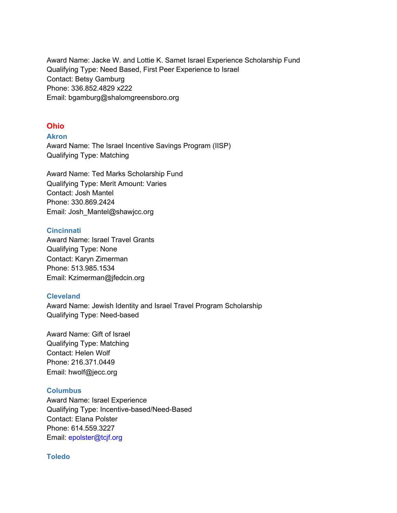Award Name: Jacke W. and Lottie K. Samet Israel Experience Scholarship Fund Qualifying Type: Need Based, First Peer Experience to Israel Contact: Betsy Gamburg Phone: 336.852.4829 x222 Email: bgamburg@shalomgreensboro.org

# **Ohio**

**Akron**

Award Name: The Israel Incentive Savings Program (IISP) Qualifying Type: Matching

Award Name: Ted Marks Scholarship Fund Qualifying Type: Merit Amount: Varies Contact: Josh Mantel Phone: 330.869.2424 Email: Josh\_Mantel@shawjcc.org

# **Cincinnati**

Award Name: Israel Travel Grants Qualifying Type: None Contact: Karyn Zimerman Phone: 513.985.1534 Email: Kzimerman@jfedcin.org

# **Cleveland**

Award Name: Jewish Identity and Israel Travel Program Scholarship Qualifying Type: Need-based

Award Name: Gift of Israel Qualifying Type: Matching Contact: Helen Wolf Phone: 216.371.0449 Email: hwolf@jecc.org

# **Columbus**

Award Name: Israel Experience Qualifying Type: Incentive-based/Need-Based Contact: Elana Polster Phone: 614.559.3227 Email: epolster@tcjf.org

## **Toledo**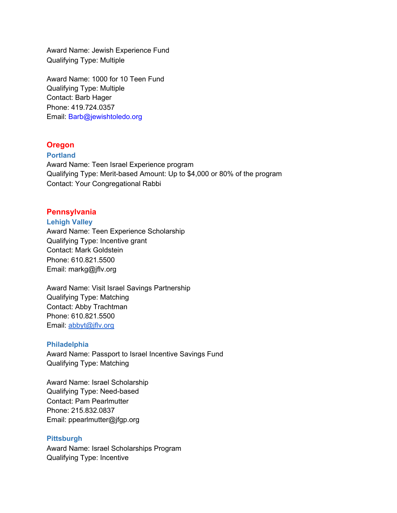Award Name: Jewish Experience Fund Qualifying Type: Multiple

Award Name: 1000 for 10 Teen Fund Qualifying Type: Multiple Contact: Barb Hager Phone: 419.724.0357 Email: Barb@jewishtoledo.org

# **Oregon**

## **Portland**

Award Name: Teen Israel Experience program Qualifying Type: Merit-based Amount: Up to \$4,000 or 80% of the program Contact: Your Congregational Rabbi

# **Pennsylvania**

#### **Lehigh Valley**

Award Name: Teen Experience Scholarship Qualifying Type: Incentive grant Contact: Mark Goldstein Phone: 610.821.5500 Email: markg@jflv.org

Award Name: Visit Israel Savings Partnership Qualifying Type: Matching Contact: Abby Trachtman Phone: 610.821.5500 Email: [abbyt@jflv.org](mailto:abbyt@jflv.org)

# **Philadelphia**

Award Name: Passport to Israel Incentive Savings Fund Qualifying Type: Matching

Award Name: Israel Scholarship Qualifying Type: Need-based Contact: Pam Pearlmutter Phone: 215.832.0837 Email: ppearlmutter@jfgp.org

# **Pittsburgh**

Award Name: Israel Scholarships Program Qualifying Type: Incentive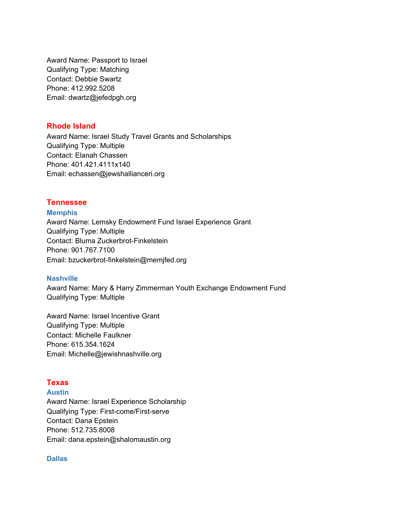Award Name: Passport to Israel Qualifying Type: Matching Contact: Debbie Swartz Phone: 412.992.5208 Email: dwartz@jefedpgh.org

# **Rhode Island**

Award Name: Israel Study Travel Grants and Scholarships Qualifying Type: Multiple Contact: Elanah Chassen Phone: 401.421.4111x140 Email: echassen@jewshallianceri.org

## **Tennessee**

**Memphis** Award Name: Lemsky Endowment Fund Israel Experience Grant Qualifying Type: Multiple Contact: Bluma Zuckerbrot-Finkelstein Phone: 901.767.7100 Email: bzuckerbrot-finkelstein@memjfed.org

## **Nashville**

Award Name: Mary & Harry Zimmerman Youth Exchange Endowment Fund Qualifying Type: Multiple

Award Name: Israel Incentive Grant Qualifying Type: Multiple Contact: Michelle Faulkner Phone: 615.354.1624 Email: Michelle@jewishnashville.org

# **Texas**

**Austin**

Award Name: Israel Experience Scholarship Qualifying Type: First-come/First-serve Contact: Dana Epstein Phone: 512.735.8008 Email: dana.epstein@shalomaustin.org

#### **Dallas**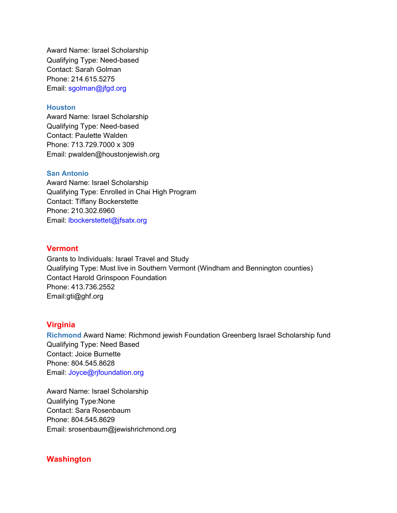Award Name: Israel Scholarship Qualifying Type: Need-based Contact: Sarah Golman Phone: 214.615.5275 Email: sgolman@jfgd.org

## **Houston**

Award Name: Israel Scholarship Qualifying Type: Need-based Contact: Paulette Walden Phone: 713.729.7000 x 309 Email: pwalden@houstonjewish.org

#### **San Antonio**

Award Name: Israel Scholarship Qualifying Type: Enrolled in Chai High Program Contact: Tiffany Bockerstette Phone: 210.302.6960 Email: lbockerstettet@jfsatx.org

#### **Vermont**

Grants to Individuals: Israel Travel and Study Qualifying Type: Must live in Southern Vermont (Windham and Bennington counties) Contact Harold Grinspoon Foundation Phone: 413.736.2552 Email:gti@ghf.org

# **Virginia**

**Richmond** Award Name: Richmond jewish Foundation Greenberg Israel Scholarship fund Qualifying Type: Need Based Contact: Joice Burnette Phone: 804.545.8628 Email: Joyce@rjfoundation.org

Award Name: Israel Scholarship Qualifying Type:None Contact: Sara Rosenbaum Phone: 804.545.8629 Email: srosenbaum@jewishrichmond.org

## **Washington**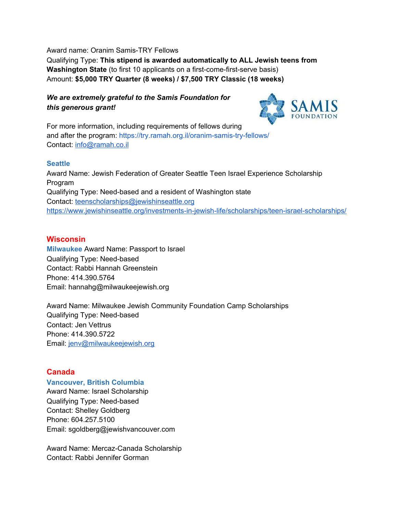Award name: Oranim Samis-TRY Fellows

Qualifying Type: **This stipend is awarded automatically to ALL Jewish teens from Washington State** (to first 10 applicants on a first-come-first-serve basis) Amount: **\$5,000 TRY Quarter (8 weeks) / \$7,500 TRY Classic (18 weeks)**

# *We are extremely grateful to the Samis Foundation for this generous grant!*



For more information, including requirements of fellows during and after the program: <https://try.ramah.org.il/oranim-samis-try-fellows/> Contact: [info@ramah.co.il](mailto:info@ramah.co.il)

# **Seattle**

Award Name: Jewish Federation of Greater Seattle Teen Israel Experience Scholarship Program Qualifying Type: Need-based and a resident of Washington state Contact: [teenscholarships@jewishinseattle.org](mailto:teenscholarships@jewishinseattle.org) <https://www.jewishinseattle.org/investments-in-jewish-life/scholarships/teen-israel-scholarships/>

# **Wisconsin**

**Milwaukee** Award Name: Passport to Israel Qualifying Type: Need-based Contact: Rabbi Hannah Greenstein Phone: 414.390.5764 Email: hannahg@milwaukeejewish.org

Award Name: Milwaukee Jewish Community Foundation Camp Scholarships Qualifying Type: Need-based Contact: Jen Vettrus Phone: 414.390.5722 Email: [jenv@milwaukeejewish.org](mailto:jenv@milwaukeejewish.org)

# **Canada**

# **Vancouver, British Columbia**

Award Name: Israel Scholarship Qualifying Type: Need-based Contact: Shelley Goldberg Phone: 604.257.5100 Email: sgoldberg@jewishvancouver.com

Award Name: Mercaz-Canada Scholarship Contact: Rabbi Jennifer Gorman